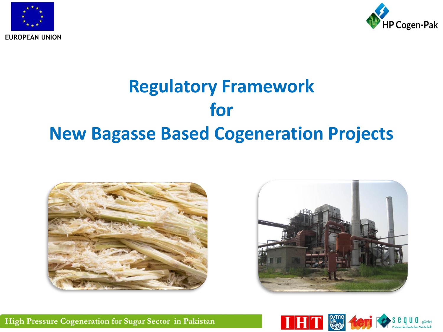



## **Regulatory Framework for New Bagasse Based Cogeneration Projects**







**High Pressure Cogeneration for Sugar Sector in Pakistan**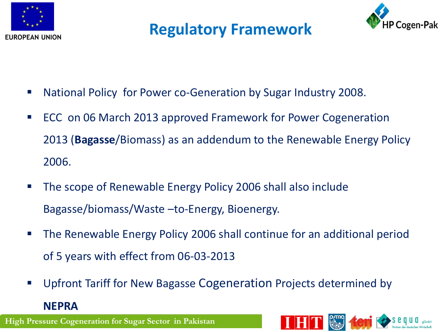

#### **Regulatory Framework**



- National Policy for Power co-Generation by Sugar Industry 2008.
- ECC on 06 March 2013 approved Framework for Power Cogeneration 2013 (**Bagasse**/Biomass) as an addendum to the Renewable Energy Policy 2006.
- The scope of Renewable Energy Policy 2006 shall also include Bagasse/biomass/Waste –to-Energy, Bioenergy.
- The Renewable Energy Policy 2006 shall continue for an additional period of 5 years with effect from 06-03-2013
- Upfront Tariff for New Bagasse Cogeneration Projects determined by **NEPRA**

**High Pressure Cogeneration for Sugar Sector in Pakistan**

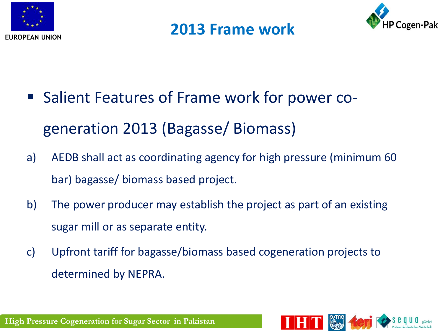





- Salient Features of Frame work for power cogeneration 2013 (Bagasse/ Biomass)
- a) AEDB shall act as coordinating agency for high pressure (minimum 60 bar) bagasse/ biomass based project.
- b) The power producer may establish the project as part of an existing sugar mill or as separate entity.
- c) Upfront tariff for bagasse/biomass based cogeneration projects to determined by NEPRA.

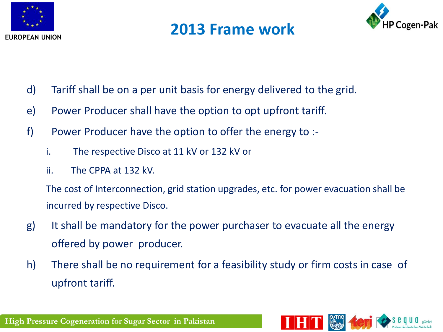

#### **2013 Frame work**



- d) Tariff shall be on a per unit basis for energy delivered to the grid.
- e) Power Producer shall have the option to opt upfront tariff.
- f) Power Producer have the option to offer the energy to :
	- i. The respective Disco at 11 kV or 132 kV or
	- ii. The CPPA at 132 kV.

The cost of Interconnection, grid station upgrades, etc. for power evacuation shall be incurred by respective Disco.

- g) It shall be mandatory for the power purchaser to evacuate all the energy offered by power producer.
- h) There shall be no requirement for a feasibility study or firm costs in case of upfront tariff.

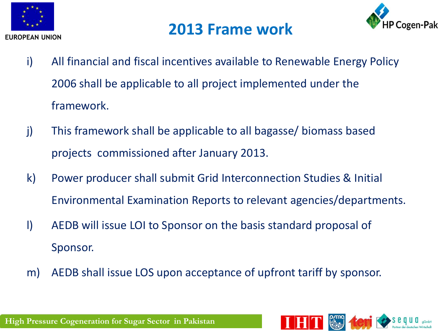

#### **2013 Frame work**



- i) All financial and fiscal incentives available to Renewable Energy Policy 2006 shall be applicable to all project implemented under the framework.
- j) This framework shall be applicable to all bagasse/ biomass based projects commissioned after January 2013.
- k) Power producer shall submit Grid Interconnection Studies & Initial Environmental Examination Reports to relevant agencies/departments.
- l) AEDB will issue LOI to Sponsor on the basis standard proposal of Sponsor.
- m) AEDB shall issue LOS upon acceptance of upfront tariff by sponsor.

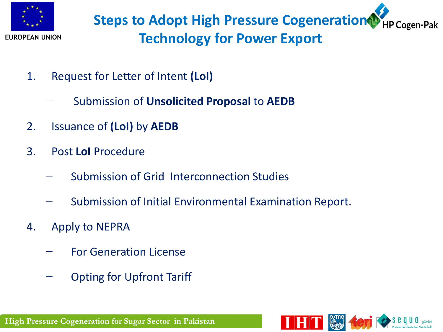

**Steps to Adopt High Pressure Cogeneration THP Cogen-Pak Technology for Power Export**

- 1. Request for Letter of Intent **(LoI)**
	- − Submission of **Unsolicited Proposal** to **AEDB**
- 2. Issuance of **(LoI)** by **AEDB**
- 3. Post **LoI** Procedure
	- Submission of Grid Interconnection Studies
	- − Submission of Initial Environmental Examination Report.
- 4. Apply to NEPRA
	- − For Generation License
	- − Opting for Upfront Tariff

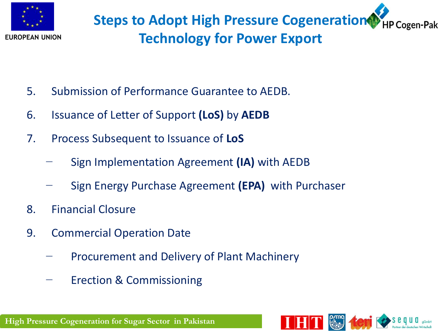

- 5. Submission of Performance Guarantee to AEDB.
- 6. Issuance of Letter of Support **(LoS)** by **AEDB**
- 7. Process Subsequent to Issuance of **LoS**
	- − Sign Implementation Agreement **(IA)** with AEDB
	- − Sign Energy Purchase Agreement **(EPA)** with Purchaser
- 8. Financial Closure
- 9. Commercial Operation Date
	- − Procurement and Delivery of Plant Machinery
	- − Erection & Commissioning

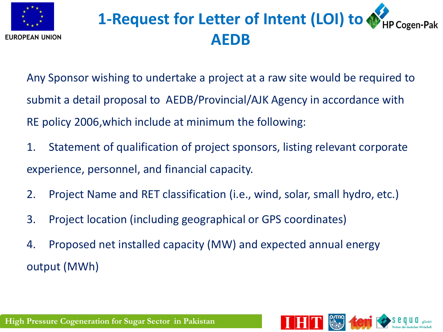

# **1-Request for Letter of Intent (LOI) to**  $\bigcirc$  **HP Cogen-Pak AEDB**

Any Sponsor wishing to undertake a project at a raw site would be required to submit a detail proposal to AEDB/Provincial/AJK Agency in accordance with RE policy 2006,which include at minimum the following:

- 1. Statement of qualification of project sponsors, listing relevant corporate experience, personnel, and financial capacity.
- 2. Project Name and RET classification (i.e., wind, solar, small hydro, etc.)
- 3. Project location (including geographical or GPS coordinates)
- 4. Proposed net installed capacity (MW) and expected annual energy output (MWh)

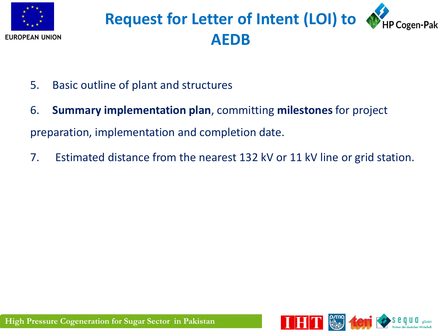

# **Request for Letter of Intent (LOI) to**  $\bullet$  **HP Cogen-Pak AEDB**

- 5. Basic outline of plant and structures
- 6. **Summary implementation plan**, committing **milestones** for project preparation, implementation and completion date.
- 7. Estimated distance from the nearest 132 kV or 11 kV line or grid station.

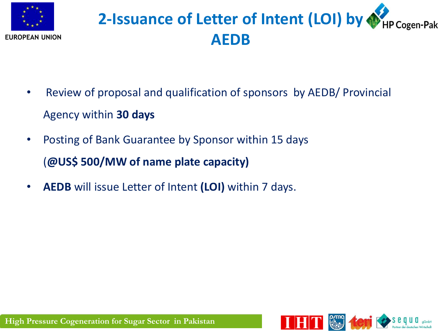

# **2-Issuance of Letter of Intent (LOI) by**  $\bigoplus_{HP\text{Cogen-Pak}}$ **AEDB**

- Review of proposal and qualification of sponsors by AEDB/ Provincial Agency within **30 days**
- Posting of Bank Guarantee by Sponsor within 15 days (**@US\$ 500/MW of name plate capacity)**
- **AEDB** will issue Letter of Intent **(LOI)** within 7 days.

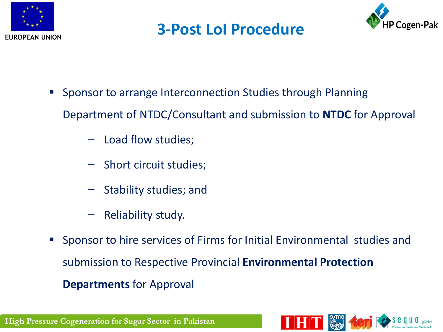

#### **3-Post LoI Procedure**



- **Sponsor to arrange Interconnection Studies through Planning** Department of NTDC/Consultant and submission to **NTDC** for Approval
	- − Load flow studies;
	- − Short circuit studies;
	- − Stability studies; and
	- − Reliability study.
- Sponsor to hire services of Firms for Initial Environmental studies and submission to Respective Provincial **Environmental Protection Departments** for Approval

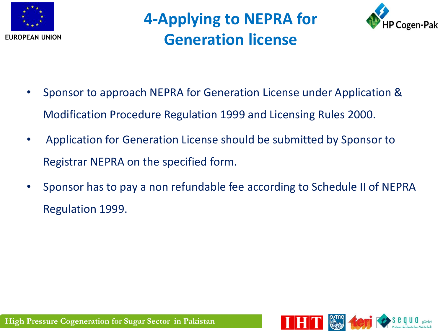

**4-Applying to NEPRA for Generation license**



- Sponsor to approach NEPRA for Generation License under Application & Modification Procedure Regulation 1999 and Licensing Rules 2000.
- Application for Generation License should be submitted by Sponsor to Registrar NEPRA on the specified form.
- Sponsor has to pay a non refundable fee according to Schedule II of NEPRA Regulation 1999.

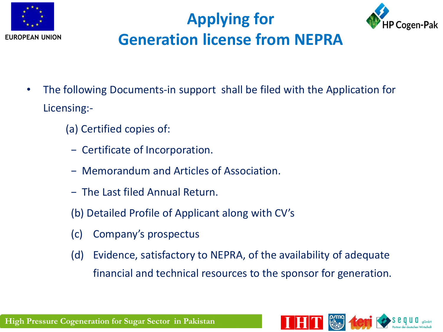





- The following Documents-in support shall be filed with the Application for Licensing:-
	- (a) Certified copies of:
		- − Certificate of Incorporation.
		- − Memorandum and Articles of Association.
		- − The Last filed Annual Return.
		- (b) Detailed Profile of Applicant along with CV's
		- (c) Company's prospectus
		- (d) Evidence, satisfactory to NEPRA, of the availability of adequate financial and technical resources to the sponsor for generation.

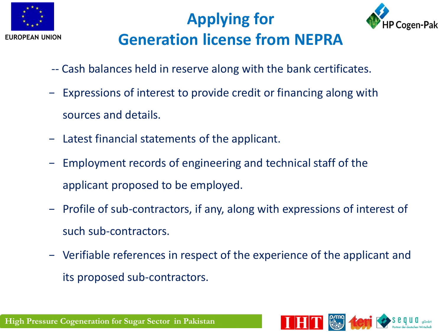

## **Applying for Generation license from NEPRA**



- -- Cash balances held in reserve along with the bank certificates.
- − Expressions of interest to provide credit or financing along with sources and details.
- − Latest financial statements of the applicant.
- − Employment records of engineering and technical staff of the applicant proposed to be employed.
- − Profile of sub-contractors, if any, along with expressions of interest of such sub-contractors.
- − Verifiable references in respect of the experience of the applicant and its proposed sub-contractors.

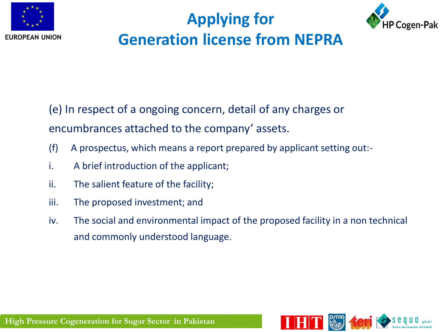

## **Applying for Generation license from NEPRA**



(e) In respect of a ongoing concern, detail of any charges or encumbrances attached to the company' assets.

- (f) A prospectus, which means a report prepared by applicant setting out:-
- i. A brief introduction of the applicant;
- ii. The salient feature of the facility;
- iii. The proposed investment; and
- iv. The social and environmental impact of the proposed facility in a non technical and commonly understood language.

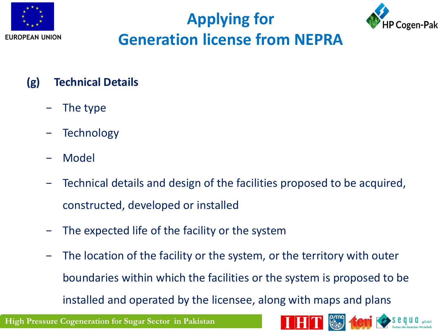





#### **(g) Technical Details**

- The type
- Technology
- − Model
- − Technical details and design of the facilities proposed to be acquired, constructed, developed or installed
- The expected life of the facility or the system
- − The location of the facility or the system, or the territory with outer boundaries within which the facilities or the system is proposed to be installed and operated by the licensee, along with maps and plans

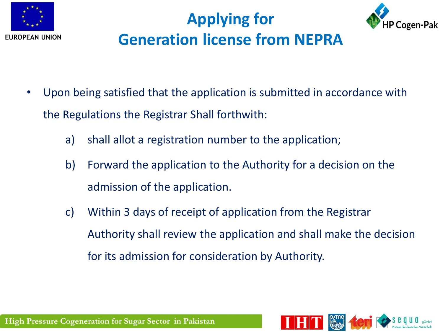

## **Applying for Generation license from NEPRA**



- Upon being satisfied that the application is submitted in accordance with the Regulations the Registrar Shall forthwith:
	- a) shall allot a registration number to the application;
	- b) Forward the application to the Authority for a decision on the admission of the application.
	- c) Within 3 days of receipt of application from the Registrar Authority shall review the application and shall make the decision for its admission for consideration by Authority.

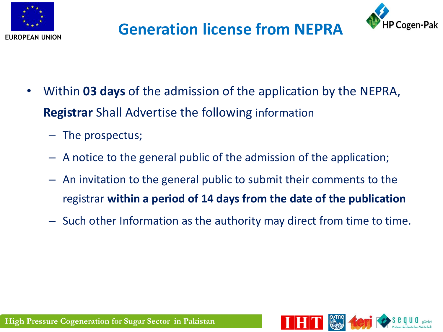



### **Generation license from NEPRA**

- Within **03 days** of the admission of the application by the NEPRA, **Registrar** Shall Advertise the following information
	- The prospectus;
	- A notice to the general public of the admission of the application;
	- An invitation to the general public to submit their comments to the registrar **within a period of 14 days from the date of the publication**
	- Such other Information as the authority may direct from time to time.

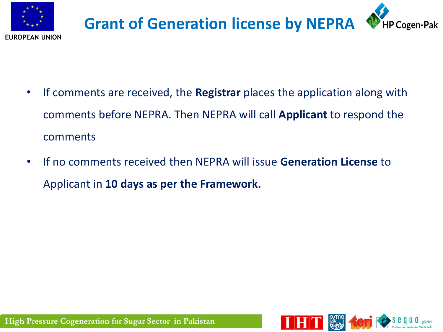



- If comments are received, the **Registrar** places the application along with comments before NEPRA. Then NEPRA will call **Applicant** to respond the comments
- If no comments received then NEPRA will issue **Generation License** to Applicant in **10 days as per the Framework.**

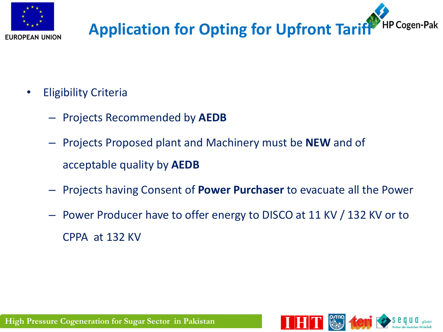

#### **HP Cogen-Pak Application for Opting for Upfront Tariff**

- Eligibility Criteria
	- Projects Recommended by **AEDB**
	- Projects Proposed plant and Machinery must be **NEW** and of acceptable quality by **AEDB**
	- Projects having Consent of **Power Purchaser** to evacuate all the Power
	- Power Producer have to offer energy to DISCO at 11 KV / 132 KV or to CPPA at 132 KV

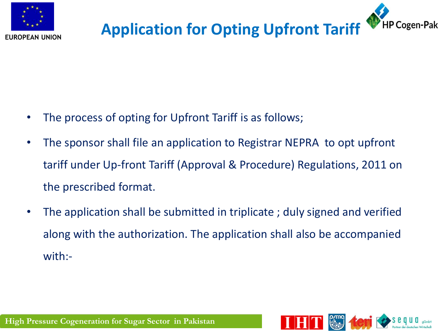

#### **Application for Opting Upfront Tariff** HP Cogen-Pak

- The process of opting for Upfront Tariff is as follows;
- The sponsor shall file an application to Registrar NEPRA to opt upfront tariff under Up-front Tariff (Approval & Procedure) Regulations, 2011 on the prescribed format.
- The application shall be submitted in triplicate ; duly signed and verified along with the authorization. The application shall also be accompanied with:-

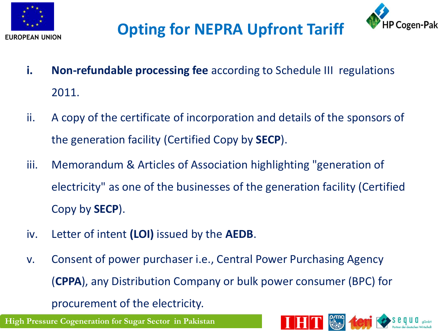



## **Opting for NEPRA Upfront Tariff**

- **i. Non-refundable processing fee** according to Schedule III regulations 2011.
- ii. A copy of the certificate of incorporation and details of the sponsors of the generation facility (Certified Copy by **SECP**).
- iii. Memorandum & Articles of Association highlighting "generation of electricity" as one of the businesses of the generation facility (Certified Copy by **SECP**).
- iv. Letter of intent **(LOI)** issued by the **AEDB**.
- v. Consent of power purchaser i.e., Central Power Purchasing Agency (**CPPA**), any Distribution Company or bulk power consumer (BPC) for procurement of the electricity.

**High Pressure Cogeneration for Sugar Sector in Pakistan**

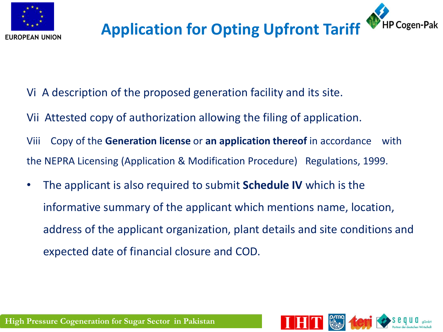

#### **Application for Opting Upfront Tariff** HP Cogen-Pak

- Vi A description of the proposed generation facility and its site.
- Vii Attested copy of authorization allowing the filing of application.
- Viii Copy of the **Generation license** or **an application thereof** in accordance with the NEPRA Licensing (Application & Modification Procedure) Regulations, 1999.
- The applicant is also required to submit **Schedule IV** which is the informative summary of the applicant which mentions name, location, address of the applicant organization, plant details and site conditions and expected date of financial closure and COD.

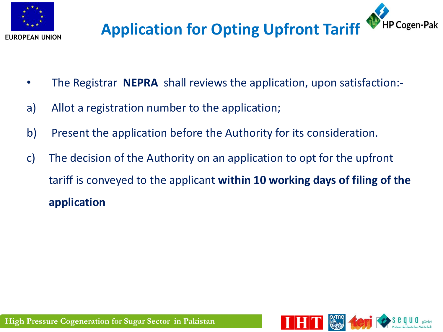

#### **Application for Opting Upfront Tariff HP Cogen-Pak**

- The Registrar **NEPRA** shall reviews the application, upon satisfaction:-
- a) Allot a registration number to the application;
- b) Present the application before the Authority for its consideration.
- c) The decision of the Authority on an application to opt for the upfront tariff is conveyed to the applicant **within 10 working days of filing of the application**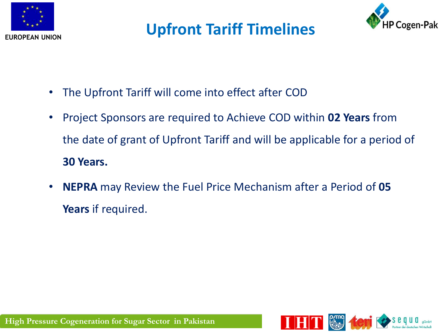

#### **Upfront Tariff Timelines**



- The Upfront Tariff will come into effect after COD
- Project Sponsors are required to Achieve COD within **02 Years** from the date of grant of Upfront Tariff and will be applicable for a period of **30 Years.**
- **NEPRA** may Review the Fuel Price Mechanism after a Period of **05 Years** if required.

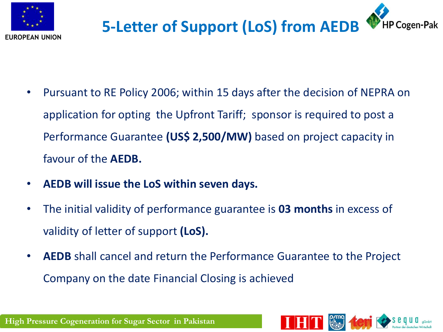



- Pursuant to RE Policy 2006; within 15 days after the decision of NEPRA on application for opting the Upfront Tariff; sponsor is required to post a Performance Guarantee **(US\$ 2,500/MW)** based on project capacity in favour of the **AEDB.**
- **AEDB will issue the LoS within seven days.**
- The initial validity of performance guarantee is **03 months** in excess of validity of letter of support **(LoS).**
- **AEDB** shall cancel and return the Performance Guarantee to the Project Company on the date Financial Closing is achieved



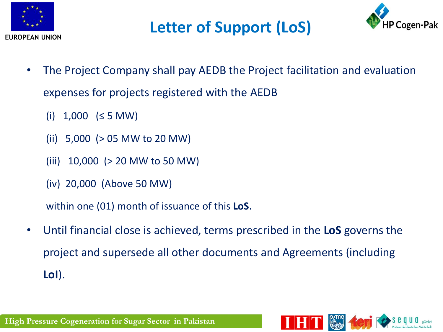

### **Letter of Support (LoS)**



- The Project Company shall pay AEDB the Project facilitation and evaluation expenses for projects registered with the AEDB
	- (i)  $1,000$  (≤ 5 MW)
	- (ii) 5,000 (> 05 MW to 20 MW)
	- (iii) 10,000 (> 20 MW to 50 MW)
	- (iv) 20,000 (Above 50 MW)

within one (01) month of issuance of this **LoS**.

• Until financial close is achieved, terms prescribed in the **LoS** governs the project and supersede all other documents and Agreements (including **LoI**).



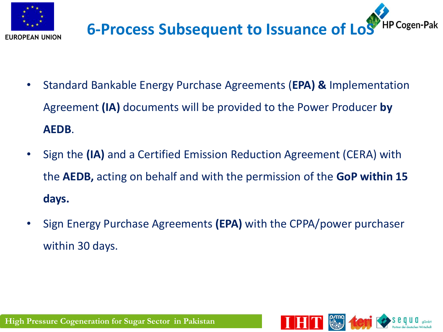



- Standard Bankable Energy Purchase Agreements (**EPA) &** Implementation Agreement **(IA)** documents will be provided to the Power Producer **by AEDB**.
- Sign the **(IA)** and a Certified Emission Reduction Agreement (CERA) with the **AEDB,** acting on behalf and with the permission of the **GoP within 15 days.**
- Sign Energy Purchase Agreements **(EPA)** with the CPPA/power purchaser within 30 days.

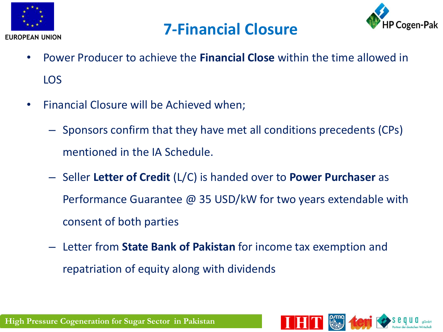





- Power Producer to achieve the **Financial Close** within the time allowed in LOS
- Financial Closure will be Achieved when;
	- Sponsors confirm that they have met all conditions precedents (CPs) mentioned in the IA Schedule.
	- Seller **Letter of Credit** (L/C) is handed over to **Power Purchaser** as Performance Guarantee @ 35 USD/kW for two years extendable with consent of both parties
	- Letter from **State Bank of Pakistan** for income tax exemption and repatriation of equity along with dividends

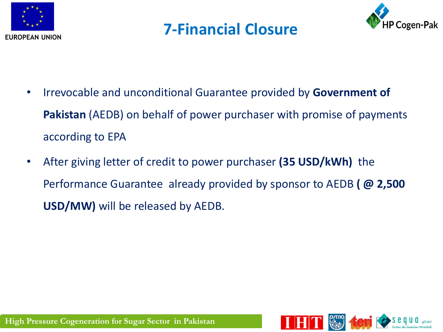





- Irrevocable and unconditional Guarantee provided by **Government of Pakistan** (AEDB) on behalf of power purchaser with promise of payments according to EPA
- After giving letter of credit to power purchaser **(35 USD/kWh)** the Performance Guarantee already provided by sponsor to AEDB **( @ 2,500 USD/MW)** will be released by AEDB.

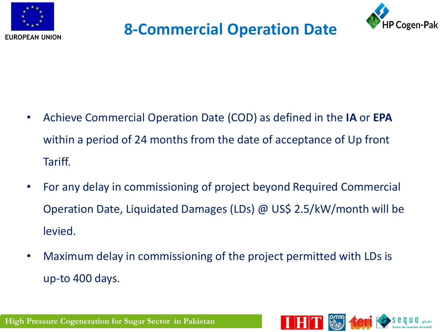

#### **8-Commercial Operation Date**



- Achieve Commercial Operation Date (COD) as defined in the **IA** or **EPA**  within a period of 24 months from the date of acceptance of Up front Tariff.
- For any delay in commissioning of project beyond Required Commercial Operation Date, Liquidated Damages (LDs) @ US\$ 2.5/kW/month will be levied.
- Maximum delay in commissioning of the project permitted with LDs is up-to 400 days.